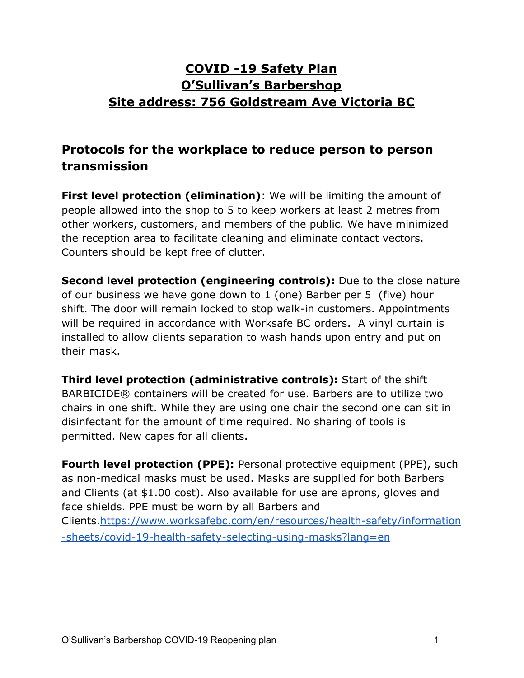# **COVID -19 Safety Plan O'Sullivan's Barbershop Site address: 756 Goldstream Ave Victoria BC**

# **Protocols for the workplace to reduce person to person transmission**

**First level protection (elimination)**: We will be limiting the amount of people allowed into the shop to 5 to keep workers at least 2 metres from other workers, customers, and members of the public. We have minimized the reception area to facilitate cleaning and eliminate contact vectors. Counters should be kept free of clutter.

**Second level protection (engineering controls):** Due to the close nature of our business we have gone down to 1 (one) Barber per 5 (five) hour shift. The door will remain locked to stop walk-in customers. Appointments will be required in accordance with Worksafe BC orders. A vinyl curtain is installed to allow clients separation to wash hands upon entry and put on their mask.

**Third level protection (administrative controls):** Start of the shift BARBICIDE® containers will be created for use. Barbers are to utilize two chairs in one shift. While they are using one chair the second one can sit in disinfectant for the amount of time required. No sharing of tools is permitted. New capes for all clients.

**Fourth level protection (PPE):** Personal protective equipment (PPE), such as non-medical masks must be used. Masks are supplied for both Barbers and Clients (at \$1.00 cost). Also available for use are aprons, gloves and face shields. PPE must be worn by all Barbers and Clients.[https://www.worksafebc.com/en/resources/health-safety/information](https://www.worksafebc.com/en/resources/health-safety/information-sheets/covid-19-health-safety-selecting-using-masks?lang=en) [-sheets/covid-19-health-safety-selecting-using-masks?lang=en](https://www.worksafebc.com/en/resources/health-safety/information-sheets/covid-19-health-safety-selecting-using-masks?lang=en)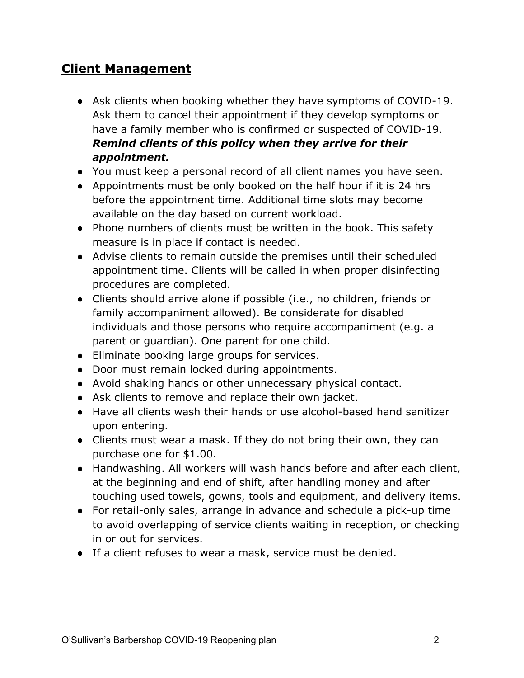## **Client Management**

- Ask clients when booking whether they have symptoms of COVID-19. Ask them to cancel their appointment if they develop symptoms or have a family member who is confirmed or suspected of COVID-19. *Remind clients of this policy when they arrive for their appointment.*
- You must keep a personal record of all client names you have seen.
- Appointments must be only booked on the half hour if it is 24 hrs before the appointment time. Additional time slots may become available on the day based on current workload.
- Phone numbers of clients must be written in the book. This safety measure is in place if contact is needed.
- Advise clients to remain outside the premises until their scheduled appointment time. Clients will be called in when proper disinfecting procedures are completed.
- Clients should arrive alone if possible (i.e., no children, friends or family accompaniment allowed). Be considerate for disabled individuals and those persons who require accompaniment (e.g. a parent or guardian). One parent for one child.
- Eliminate booking large groups for services.
- Door must remain locked during appointments.
- Avoid shaking hands or other unnecessary physical contact.
- Ask clients to remove and replace their own jacket.
- Have all clients wash their hands or use alcohol-based hand sanitizer upon entering.
- Clients must wear a mask. If they do not bring their own, they can purchase one for \$1.00.
- Handwashing. All workers will wash hands before and after each client, at the beginning and end of shift, after handling money and after touching used towels, gowns, tools and equipment, and delivery items.
- For retail-only sales, arrange in advance and schedule a pick-up time to avoid overlapping of service clients waiting in reception, or checking in or out for services.
- If a client refuses to wear a mask, service must be denied.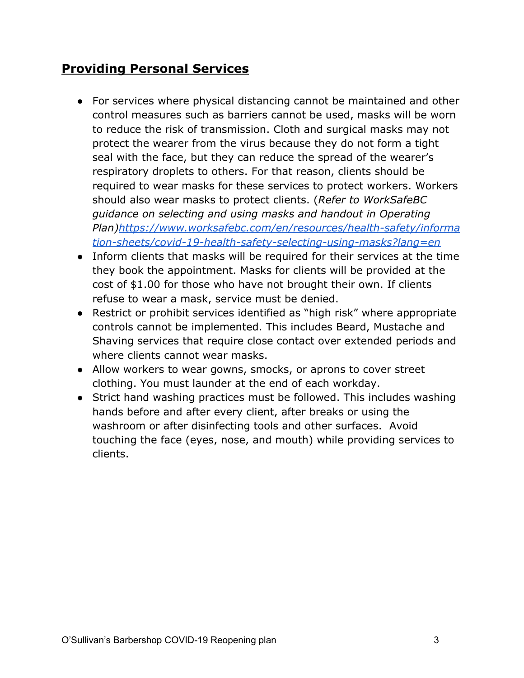## **Providing Personal Services**

- For services where physical distancing cannot be maintained and other control measures such as barriers cannot be used, masks will be worn to reduce the risk of transmission. Cloth and surgical masks may not protect the wearer from the virus because they do not form a tight seal with the face, but they can reduce the spread of the wearer's respiratory droplets to others. For that reason, clients should be required to wear masks for these services to protect workers. Workers should also wear masks to protect clients. (*Refer to WorkSafeBC guidance on selecting and using masks and handout in Operating Plan)[https://www.worksafebc.com/en/resources/health-safety/informa](https://www.worksafebc.com/en/resources/health-safety/information-sheets/covid-19-health-safety-selecting-using-masks?lang=en) [tion-sheets/covid-19-health-safety-selecting-using-masks?lang=en](https://www.worksafebc.com/en/resources/health-safety/information-sheets/covid-19-health-safety-selecting-using-masks?lang=en)*
- Inform clients that masks will be required for their services at the time they book the appointment. Masks for clients will be provided at the cost of \$1.00 for those who have not brought their own. If clients refuse to wear a mask, service must be denied.
- Restrict or prohibit services identified as "high risk" where appropriate controls cannot be implemented. This includes Beard, Mustache and Shaving services that require close contact over extended periods and where clients cannot wear masks.
- Allow workers to wear gowns, smocks, or aprons to cover street clothing. You must launder at the end of each workday.
- Strict hand washing practices must be followed. This includes washing hands before and after every client, after breaks or using the washroom or after disinfecting tools and other surfaces. Avoid touching the face (eyes, nose, and mouth) while providing services to clients.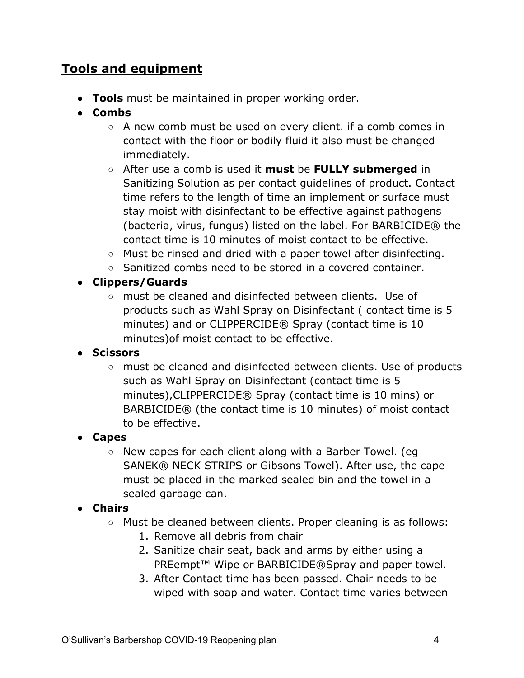# **Tools and equipment**

- **Tools** must be maintained in proper working order.
- **Combs**
	- A new comb must be used on every client. if a comb comes in contact with the floor or bodily fluid it also must be changed immediately.
	- After use a comb is used it **must** be **FULLY submerged** in Sanitizing Solution as per contact guidelines of product. Contact time refers to the length of time an implement or surface must stay moist with disinfectant to be effective against pathogens (bacteria, virus, fungus) listed on the label. For BARBICIDE® the contact time is 10 minutes of moist contact to be effective.
	- Must be rinsed and dried with a paper towel after disinfecting.
	- Sanitized combs need to be stored in a covered container.

#### **● Clippers/Guards**

**○** must be cleaned and disinfected between clients. Use of products such as Wahl Spray on Disinfectant ( contact time is 5 minutes) and or CLIPPERCIDE® Spray (contact time is 10 minutes)of moist contact to be effective.

#### **● Scissors**

**○** must be cleaned and disinfected between clients. Use of products such as Wahl Spray on Disinfectant (contact time is 5 minutes),CLIPPERCIDE® Spray (contact time is 10 mins) or BARBICIDE® (the contact time is 10 minutes) of moist contact to be effective.

#### ● **Capes**

○ New capes for each client along with a Barber Towel. (eg SANEK® NECK STRIPS or Gibsons Towel). After use, the cape must be placed in the marked sealed bin and the towel in a sealed garbage can.

#### ● **Chairs**

- Must be cleaned between clients. Proper cleaning is as follows:
	- 1. Remove all debris from chair
	- 2. Sanitize chair seat, back and arms by either using a PREempt<sup>™</sup> Wipe or BARBICIDE®Spray and paper towel.
	- 3. After Contact time has been passed. Chair needs to be wiped with soap and water. Contact time varies between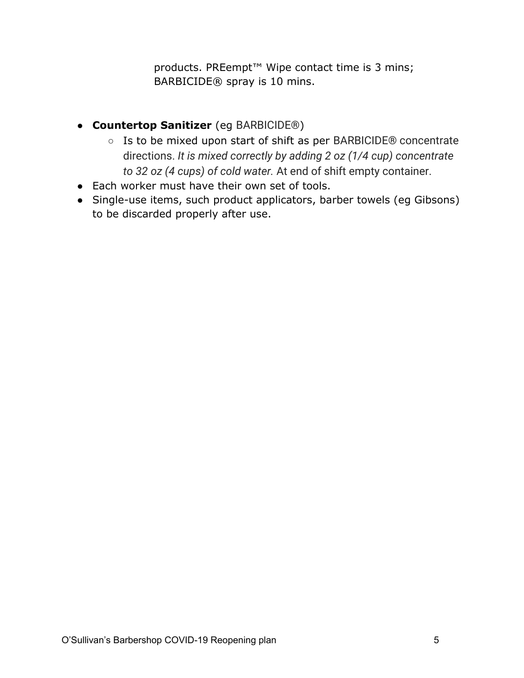products. PREempt<sup>™</sup> Wipe contact time is 3 mins; BARBICIDE® spray is 10 mins.

- **Countertop Sanitizer** (eg BARBICIDE®)
	- Is to be mixed upon start of shift as per BARBICIDE® concentrate directions. *It is mixed correctly by adding 2 oz (1/4 cup) concentrate to 32 oz (4 cups) of cold water.* At end of shift empty container.
- Each worker must have their own set of tools.
- Single-use items, such product applicators, barber towels (eg Gibsons) to be discarded properly after use.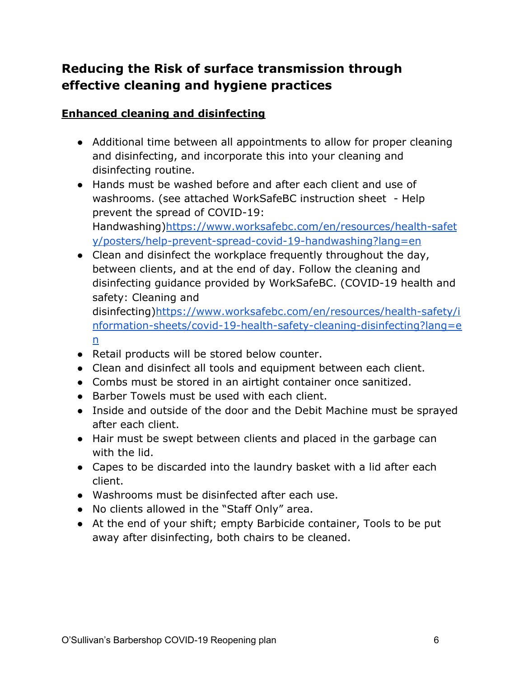# **Reducing the Risk of surface transmission through effective cleaning and hygiene practices**

#### **Enhanced cleaning and disinfecting**

- Additional time between all appointments to allow for proper cleaning and disinfecting, and incorporate this into your cleaning and disinfecting routine.
- Hands must be washed before and after each client and use of washrooms. (see attached WorkSafeBC instruction sheet - Help prevent the spread of COVID-19: Handwashing)[https://www.worksafebc.com/en/resources/health-safet](https://www.worksafebc.com/en/resources/health-safety/posters/help-prevent-spread-covid-19-handwashing?lang=en) [y/posters/help-prevent-spread-covid-19-handwashing?lang=en](https://www.worksafebc.com/en/resources/health-safety/posters/help-prevent-spread-covid-19-handwashing?lang=en)
- Clean and disinfect the workplace frequently throughout the day, between clients, and at the end of day. Follow the cleaning and disinfecting guidance provided by WorkSafeBC. (COVID-19 health and safety: Cleaning and

disinfecting)[https://www.worksafebc.com/en/resources/health-safety/i](https://www.worksafebc.com/en/resources/health-safety/information-sheets/covid-19-health-safety-cleaning-disinfecting?lang=en) [nformation-sheets/covid-19-health-safety-cleaning-disinfecting?lang=e](https://www.worksafebc.com/en/resources/health-safety/information-sheets/covid-19-health-safety-cleaning-disinfecting?lang=en) [n](https://www.worksafebc.com/en/resources/health-safety/information-sheets/covid-19-health-safety-cleaning-disinfecting?lang=en)

- Retail products will be stored below counter.
- Clean and disinfect all tools and equipment between each client.
- Combs must be stored in an airtight container once sanitized.
- Barber Towels must be used with each client.
- Inside and outside of the door and the Debit Machine must be sprayed after each client.
- Hair must be swept between clients and placed in the garbage can with the lid.
- Capes to be discarded into the laundry basket with a lid after each client.
- Washrooms must be disinfected after each use.
- No clients allowed in the "Staff Only" area.
- At the end of your shift; empty Barbicide container, Tools to be put away after disinfecting, both chairs to be cleaned.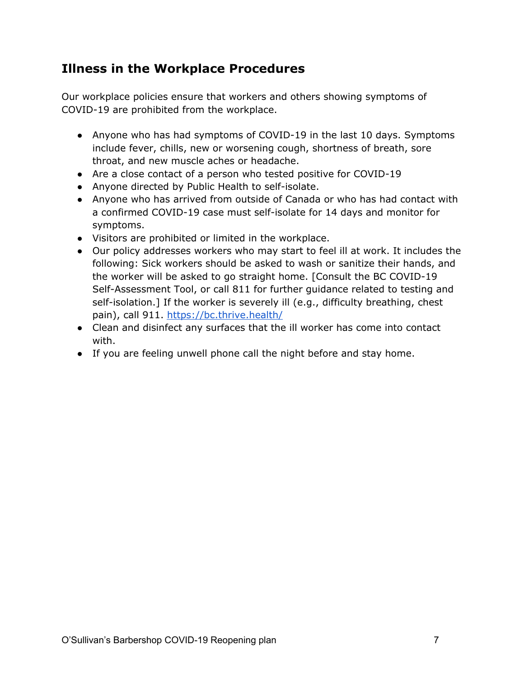### **Illness in the Workplace Procedures**

Our workplace policies ensure that workers and others showing symptoms of COVID-19 are prohibited from the workplace.

- Anyone who has had symptoms of COVID-19 in the last 10 days. Symptoms include fever, chills, new or worsening cough, shortness of breath, sore throat, and new muscle aches or headache.
- Are a close contact of a person who tested positive for COVID-19
- Anyone directed by Public Health to self-isolate.
- Anyone who has arrived from outside of Canada or who has had contact with a confirmed COVID-19 case must self-isolate for 14 days and monitor for symptoms.
- Visitors are prohibited or limited in the workplace.
- Our policy addresses workers who may start to feel ill at work. It includes the following: Sick workers should be asked to wash or sanitize their hands, and the worker will be asked to go straight home. [Consult the BC COVID-19 Self-Assessment Tool, or call 811 for further guidance related to testing and self-isolation.] If the worker is severely ill (e.g., difficulty breathing, chest pain), call 911. <https://bc.thrive.health/>
- Clean and disinfect any surfaces that the ill worker has come into contact with.
- If you are feeling unwell phone call the night before and stay home.